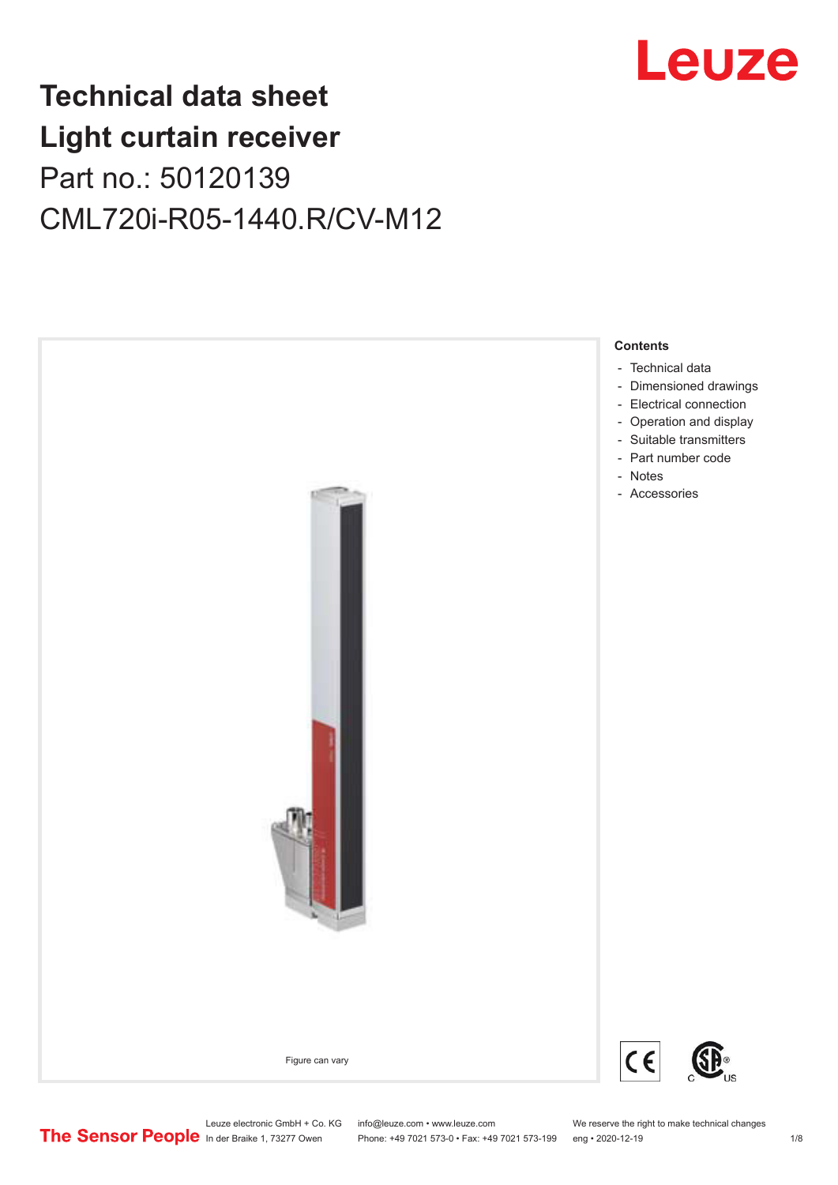

## **Technical data sheet Light curtain receiver** Part no.: 50120139 CML720i-R05-1440.R/CV-M12



Leuze electronic GmbH + Co. KG info@leuze.com • www.leuze.com We reserve the right to make technical changes<br>
The Sensor People in der Braike 1, 73277 Owen Phone: +49 7021 573-0 • Fax: +49 7021 573-199 eng • 2020-12-19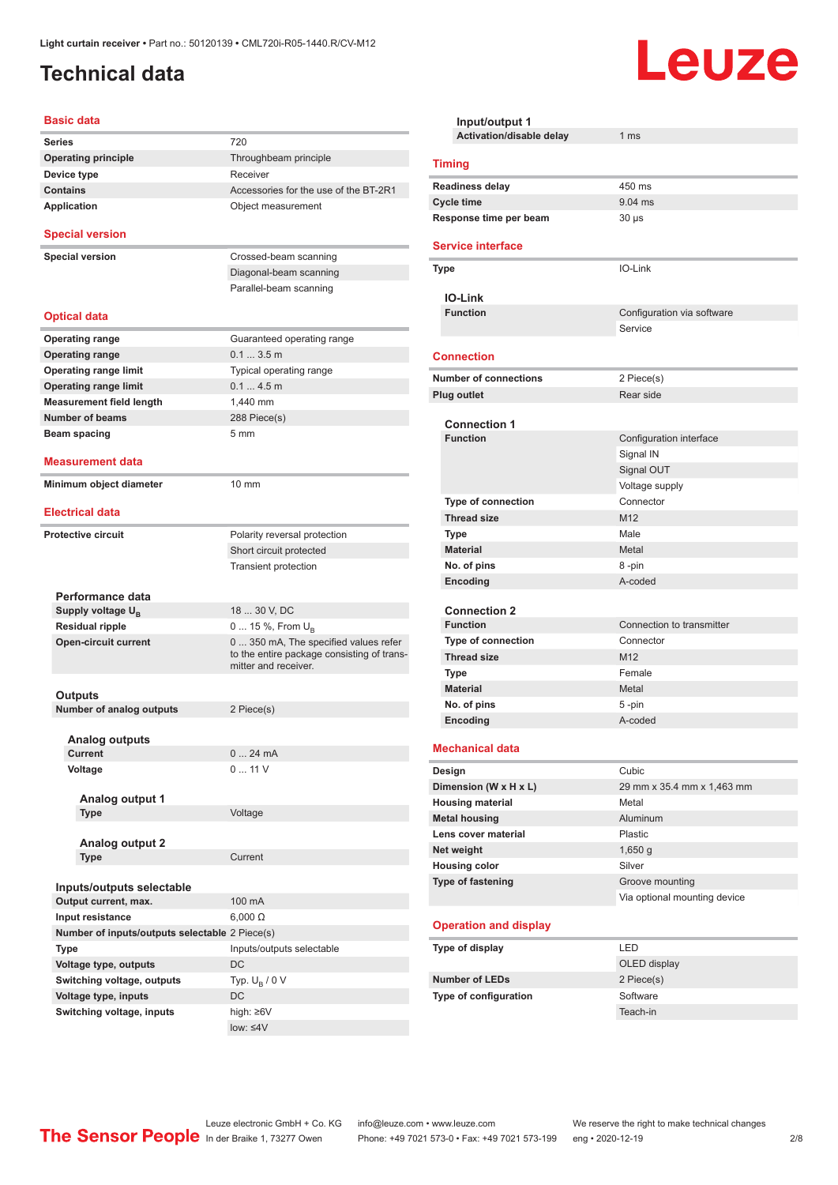## <span id="page-1-0"></span>**Technical data**

#### **Basic data**

| 720                                                                                                        |
|------------------------------------------------------------------------------------------------------------|
| Throughbeam principle                                                                                      |
| Receiver                                                                                                   |
| Accessories for the use of the BT-2R1                                                                      |
| Object measurement                                                                                         |
|                                                                                                            |
| Crossed-beam scanning                                                                                      |
| Diagonal-beam scanning                                                                                     |
| Parallel-beam scanning                                                                                     |
|                                                                                                            |
| Guaranteed operating range                                                                                 |
| $0.13.5$ m                                                                                                 |
| Typical operating range                                                                                    |
| 0.14.5m                                                                                                    |
| 1.440 mm                                                                                                   |
| 288 Piece(s)                                                                                               |
| 5 <sub>mm</sub>                                                                                            |
|                                                                                                            |
|                                                                                                            |
| 10 mm                                                                                                      |
|                                                                                                            |
| Polarity reversal protection                                                                               |
| Short circuit protected                                                                                    |
| Transient protection                                                                                       |
|                                                                                                            |
|                                                                                                            |
| 18  30 V, DC                                                                                               |
| 0  15 %, From $U_B$                                                                                        |
| 0 350 mA, The specified values refer<br>to the entire package consisting of trans-<br>mitter and receiver. |
|                                                                                                            |
|                                                                                                            |
| 2 Piece(s)                                                                                                 |
|                                                                                                            |
| 24 mA<br>$0$                                                                                               |
| 011V                                                                                                       |
|                                                                                                            |
|                                                                                                            |
| Voltage                                                                                                    |
|                                                                                                            |
|                                                                                                            |
| Current                                                                                                    |
|                                                                                                            |
|                                                                                                            |
| 100 mA                                                                                                     |
| $6,000 \Omega$                                                                                             |
| Number of inputs/outputs selectable 2 Piece(s)                                                             |
| Inputs/outputs selectable                                                                                  |
| DC                                                                                                         |
| Typ. $U_R / 0 V$                                                                                           |
|                                                                                                            |
| DC                                                                                                         |
| high: ≥6V                                                                                                  |
|                                                                                                            |

| Input/output 1                                  |                              |  |  |
|-------------------------------------------------|------------------------------|--|--|
| Activation/disable delay                        | 1 <sub>ms</sub>              |  |  |
| <b>Timing</b>                                   |                              |  |  |
| <b>Readiness delay</b>                          | 450 ms                       |  |  |
| <b>Cycle time</b>                               | $9.04$ ms                    |  |  |
| Response time per beam                          | $30 \mu s$                   |  |  |
| <b>Service interface</b>                        |                              |  |  |
| <b>Type</b>                                     | IO-Link                      |  |  |
| <b>IO-Link</b>                                  |                              |  |  |
| <b>Function</b>                                 | Configuration via software   |  |  |
|                                                 | Service                      |  |  |
| <b>Connection</b>                               |                              |  |  |
| <b>Number of connections</b>                    | 2 Piece(s)                   |  |  |
| <b>Plug outlet</b>                              | Rear side                    |  |  |
|                                                 |                              |  |  |
| <b>Connection 1</b><br><b>Function</b>          |                              |  |  |
|                                                 | Configuration interface      |  |  |
|                                                 | Signal IN<br>Signal OUT      |  |  |
|                                                 | Voltage supply               |  |  |
| <b>Type of connection</b>                       | Connector                    |  |  |
| <b>Thread size</b>                              | M12                          |  |  |
| <b>Type</b>                                     | Male                         |  |  |
| <b>Material</b>                                 | Metal                        |  |  |
| No. of pins                                     | 8-pin                        |  |  |
| Encoding                                        | A-coded                      |  |  |
|                                                 |                              |  |  |
| <b>Connection 2</b>                             |                              |  |  |
| <b>Function</b>                                 | Connection to transmitter    |  |  |
| <b>Type of connection</b><br><b>Thread size</b> | Connector<br>M <sub>12</sub> |  |  |
|                                                 | Female                       |  |  |
| Type<br><b>Material</b>                         | Metal                        |  |  |
| No. of pins                                     | 5-pin                        |  |  |
| Encoding                                        | A-coded                      |  |  |
|                                                 |                              |  |  |
| <b>Mechanical data</b>                          |                              |  |  |
| Design                                          | Cubic                        |  |  |
| Dimension (W x H x L)                           | 29 mm x 35.4 mm x 1,463 mm   |  |  |
| <b>Housing material</b>                         | Metal                        |  |  |
| <b>Metal housing</b><br>Lens cover material     | <b>Aluminum</b><br>Plastic   |  |  |
| Net weight                                      | $1,650$ g                    |  |  |
| <b>Housing color</b>                            | Silver                       |  |  |
| Type of fastening                               | Groove mounting              |  |  |
|                                                 | Via optional mounting device |  |  |
|                                                 |                              |  |  |
| <b>Operation and display</b>                    |                              |  |  |
| Type of display                                 | LED                          |  |  |
|                                                 | OLED display                 |  |  |
| <b>Number of LEDs</b>                           | 2 Piece(s)                   |  |  |
| Type of configuration                           | Software                     |  |  |
|                                                 | Teach-in                     |  |  |

Leuze

Leuze electronic GmbH + Co. KG info@leuze.com • www.leuze.com We reserve the right to make technical changes

ln der Braike 1, 73277 Owen Phone: +49 7021 573-0 • Fax: +49 7021 573-199 eng • 2020-12-19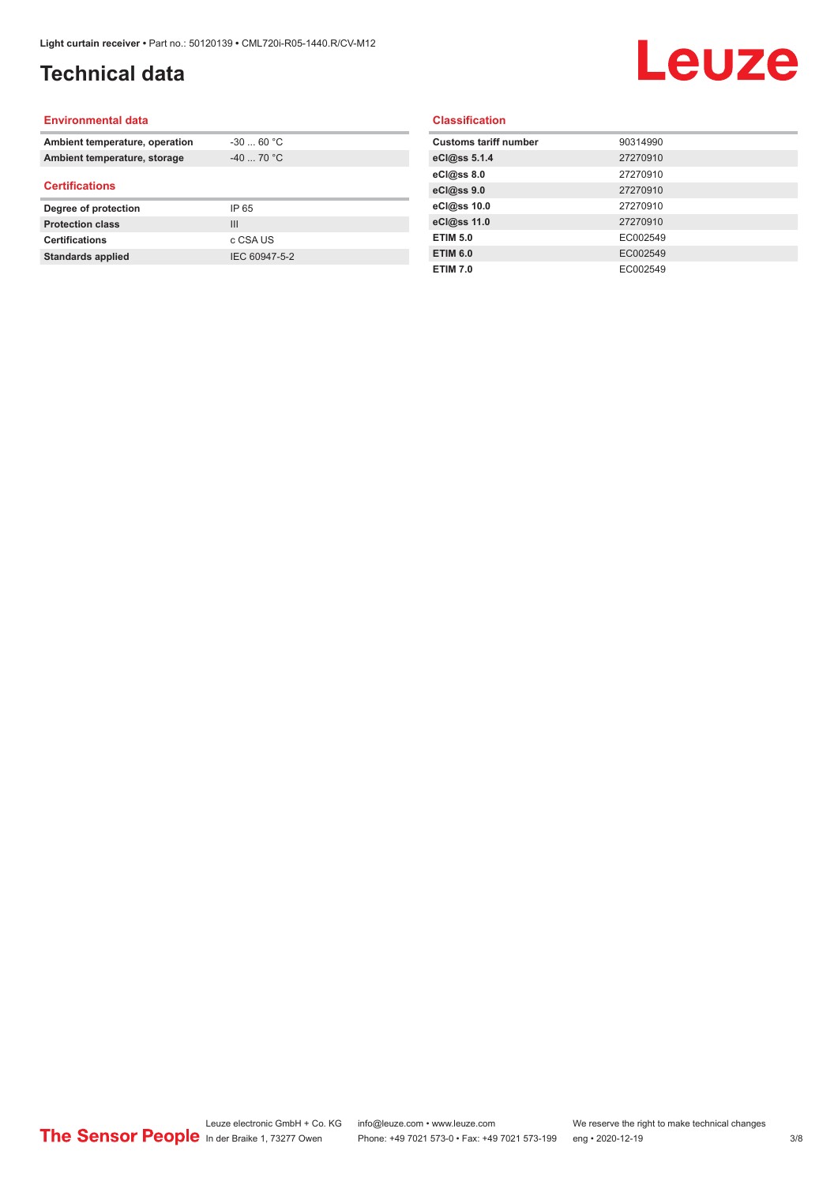## **Technical data**

# Leuze

#### **Environmental data**

| Ambient temperature, operation | $-30$ 60 °C |  |
|--------------------------------|-------------|--|
| Ambient temperature, storage   | $-40$ 70 °C |  |
| <b>Certifications</b>          |             |  |
|                                |             |  |
| Degree of protection           | IP 65       |  |
| <b>Protection class</b>        | Ш           |  |
| <b>Certifications</b>          | c CSA US    |  |

#### **Classification**

| <b>Customs tariff number</b> | 90314990 |
|------------------------------|----------|
| eCl@ss 5.1.4                 | 27270910 |
| eCl@ss 8.0                   | 27270910 |
| eCl@ss 9.0                   | 27270910 |
| eCl@ss 10.0                  | 27270910 |
| eCl@ss 11.0                  | 27270910 |
| <b>ETIM 5.0</b>              | EC002549 |
| <b>ETIM 6.0</b>              | EC002549 |
| <b>ETIM 7.0</b>              | EC002549 |
|                              |          |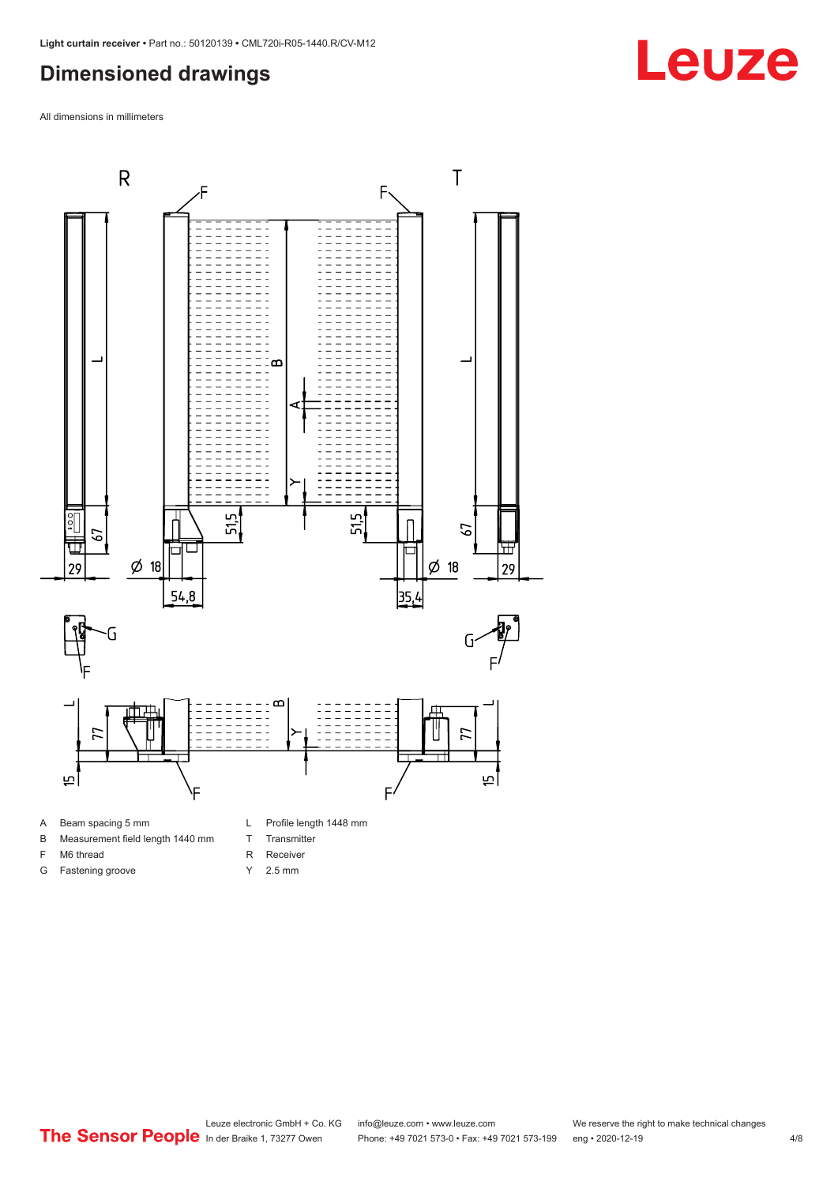### <span id="page-3-0"></span>**Dimensioned drawings**

All dimensions in millimeters



A Beam spacing 5 mm

G Fastening groove

- B Measurement field length 1440 mm
- F M6 thread
- R Receiver
	- Y 2.5 mm

T Transmitter

# **Leuze**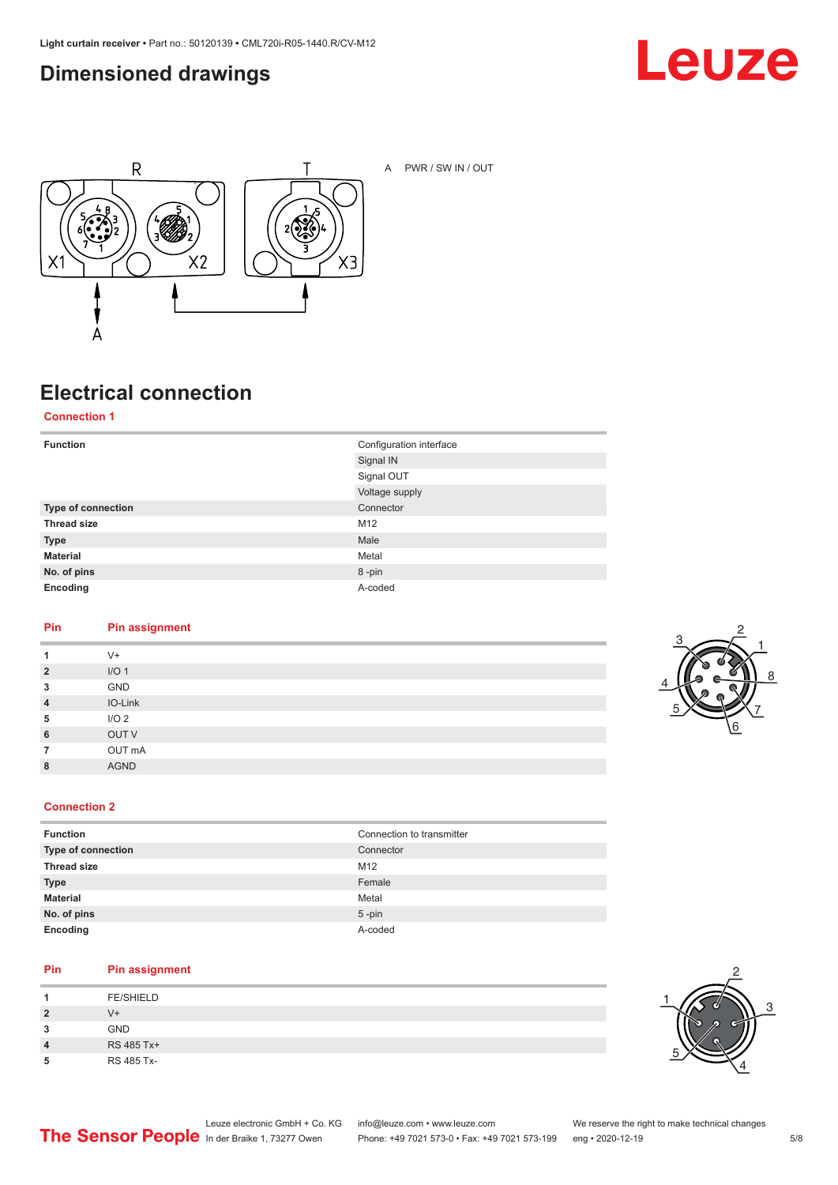### <span id="page-4-0"></span>**Dimensioned drawings**





A PWR / SW IN / OUT

## **Electrical connection**

**Connection 1**

| <b>Function</b>    | Configuration interface<br>Signal IN |
|--------------------|--------------------------------------|
|                    | Signal OUT                           |
|                    | Voltage supply                       |
| Type of connection | Connector                            |
| <b>Thread size</b> | M12                                  |
| <b>Type</b>        | Male                                 |
| <b>Material</b>    | Metal                                |
| No. of pins        | 8-pin                                |
| Encoding           | A-coded                              |

#### **Pin Pin assignment**

| 1              | $V^+$            |
|----------------|------------------|
| $\overline{2}$ | I/O <sub>1</sub> |
| 3              | GND              |
| $\overline{4}$ | IO-Link          |
| 5              | I/O <sub>2</sub> |
| 6              | OUT V            |
| 7              | OUT mA           |
| 8              | <b>AGND</b>      |
|                |                  |



#### **Connection 2**

| <b>Function</b>    | Connection to transmitter |
|--------------------|---------------------------|
| Type of connection | Connector                 |
| <b>Thread size</b> | M12                       |
| <b>Type</b>        | Female                    |
| <b>Material</b>    | Metal                     |
| No. of pins        | $5$ -pin                  |
| Encoding           | A-coded                   |

#### **Pin Pin assignment**

| л              | <b>FE/SHIELD</b> |
|----------------|------------------|
| $\overline{2}$ | V+               |
| 3              | <b>GND</b>       |
| 4              | RS 485 Tx+       |
| 5              | RS 485 Tx-       |

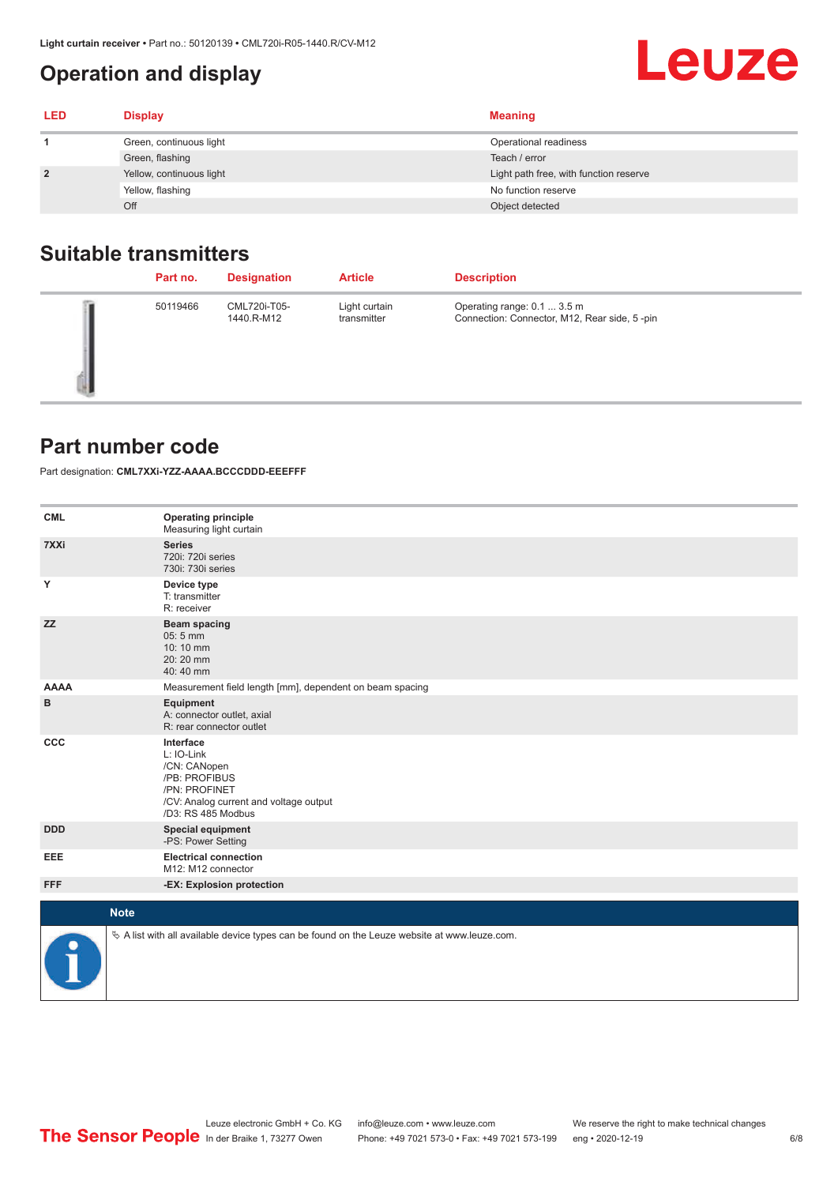## <span id="page-5-0"></span>**Operation and display**

| <b>LED</b>     | <b>Display</b>           | <b>Meaning</b>                         |
|----------------|--------------------------|----------------------------------------|
|                | Green, continuous light  | Operational readiness                  |
|                | Green, flashing          | Teach / error                          |
| $\overline{2}$ | Yellow, continuous light | Light path free, with function reserve |
|                | Yellow, flashing         | No function reserve                    |
|                | Off                      | Object detected                        |

#### **Suitable transmitters**

| Part no. | <b>Designation</b>         | <b>Article</b>               | <b>Description</b>                                                          |
|----------|----------------------------|------------------------------|-----------------------------------------------------------------------------|
| 50119466 | CML720i-T05-<br>1440.R-M12 | Light curtain<br>transmitter | Operating range: 0.1  3.5 m<br>Connection: Connector, M12, Rear side, 5-pin |

#### **Part number code**

Part designation: **CML7XXi-YZZ-AAAA.BCCCDDD-EEEFFF**

| <b>CML</b>  | <b>Operating principle</b><br>Measuring light curtain                                                                                     |
|-------------|-------------------------------------------------------------------------------------------------------------------------------------------|
| 7XXi        | <b>Series</b><br>720i: 720i series<br>730i: 730i series                                                                                   |
| Y           | Device type<br>T: transmitter<br>R: receiver                                                                                              |
| <b>ZZ</b>   | <b>Beam spacing</b><br>05:5 mm<br>10:10 mm<br>20:20 mm<br>40:40 mm                                                                        |
| <b>AAAA</b> | Measurement field length [mm], dependent on beam spacing                                                                                  |
| в           | Equipment<br>A: connector outlet, axial<br>R: rear connector outlet                                                                       |
| CCC         | Interface<br>L: IO-Link<br>/CN: CANopen<br>/PB: PROFIBUS<br>/PN: PROFINET<br>/CV: Analog current and voltage output<br>/D3: RS 485 Modbus |
| <b>DDD</b>  | <b>Special equipment</b><br>-PS: Power Setting                                                                                            |
| EEE         | <b>Electrical connection</b><br>M12: M12 connector                                                                                        |
| <b>FFF</b>  | -EX: Explosion protection                                                                                                                 |
|             | <b>Note</b>                                                                                                                               |
| ₽           | $\&$ A list with all available device types can be found on the Leuze website at www.leuze.com.                                           |

**Leuze**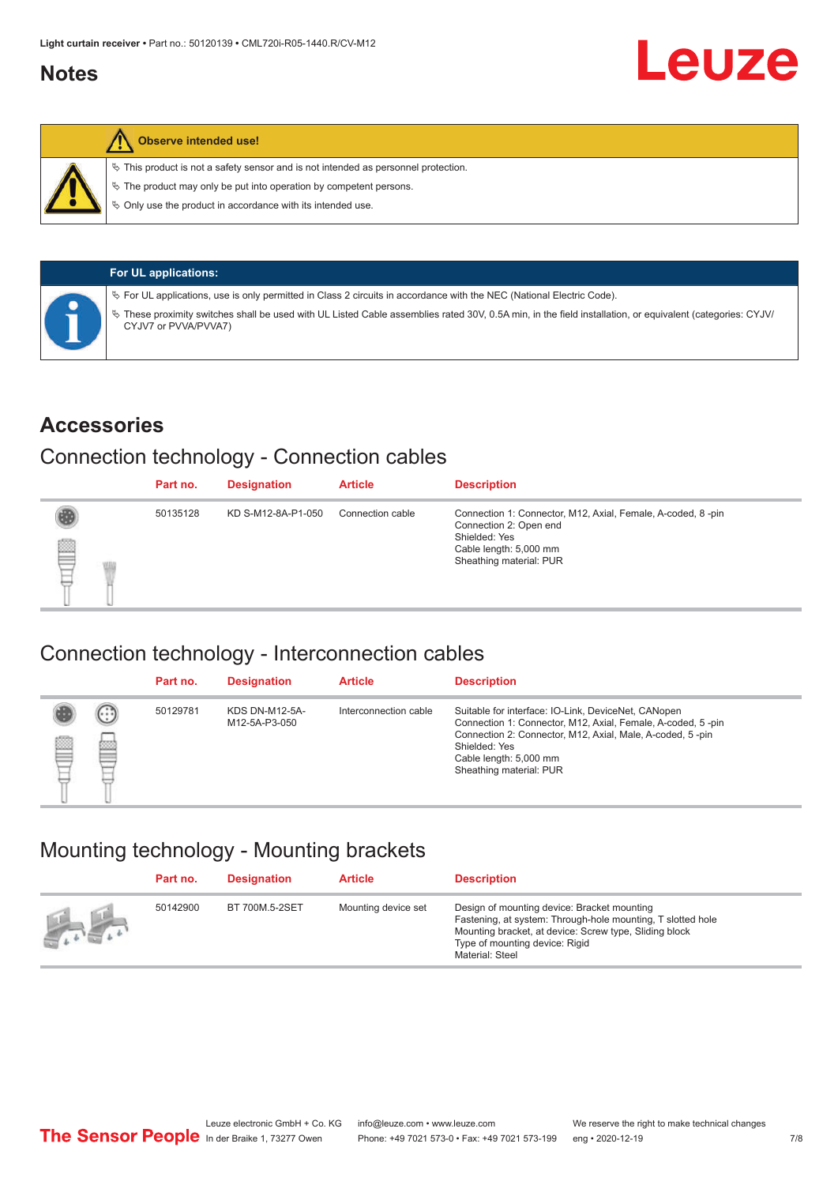#### <span id="page-6-0"></span>**Notes**



#### **Observe intended use!**

 $\%$  This product is not a safety sensor and is not intended as personnel protection.

 $\%$  The product may only be put into operation by competent persons.

 $\%$  Only use the product in accordance with its intended use.

| <b>For UL applications:</b>                                                                                                                                                       |
|-----------------------------------------------------------------------------------------------------------------------------------------------------------------------------------|
| $\%$ For UL applications, use is only permitted in Class 2 circuits in accordance with the NEC (National Electric Code).                                                          |
| V These proximity switches shall be used with UL Listed Cable assemblies rated 30V, 0.5A min, in the field installation, or equivalent (categories: CYJV/<br>CYJV7 or PVVA/PVVA7) |

#### **Accessories**

#### Connection technology - Connection cables

|   | Part no. | <b>Designation</b> | <b>Article</b>   | <b>Description</b>                                                                                                                                          |
|---|----------|--------------------|------------------|-------------------------------------------------------------------------------------------------------------------------------------------------------------|
| ▇ | 50135128 | KD S-M12-8A-P1-050 | Connection cable | Connection 1: Connector, M12, Axial, Female, A-coded, 8-pin<br>Connection 2: Open end<br>Shielded: Yes<br>Cable length: 5,000 mm<br>Sheathing material: PUR |

#### Connection technology - Interconnection cables

|   |                      | Part no. | <b>Designation</b>                     | <b>Article</b>        | <b>Description</b>                                                                                                                                                                                                                                    |
|---|----------------------|----------|----------------------------------------|-----------------------|-------------------------------------------------------------------------------------------------------------------------------------------------------------------------------------------------------------------------------------------------------|
| ▤ | $(\cdot;\cdot)$<br>Þ | 50129781 | <b>KDS DN-M12-5A-</b><br>M12-5A-P3-050 | Interconnection cable | Suitable for interface: IO-Link, DeviceNet, CANopen<br>Connection 1: Connector, M12, Axial, Female, A-coded, 5-pin<br>Connection 2: Connector, M12, Axial, Male, A-coded, 5-pin<br>Shielded: Yes<br>Cable length: 5,000 mm<br>Sheathing material: PUR |

#### Mounting technology - Mounting brackets

|               | Part no. | <b>Designation</b> | <b>Article</b>      | <b>Description</b>                                                                                                                                                                                                        |
|---------------|----------|--------------------|---------------------|---------------------------------------------------------------------------------------------------------------------------------------------------------------------------------------------------------------------------|
| $\frac{1}{2}$ | 50142900 | BT 700M.5-2SET     | Mounting device set | Design of mounting device: Bracket mounting<br>Fastening, at system: Through-hole mounting, T slotted hole<br>Mounting bracket, at device: Screw type, Sliding block<br>Type of mounting device: Rigid<br>Material: Steel |

Leuze